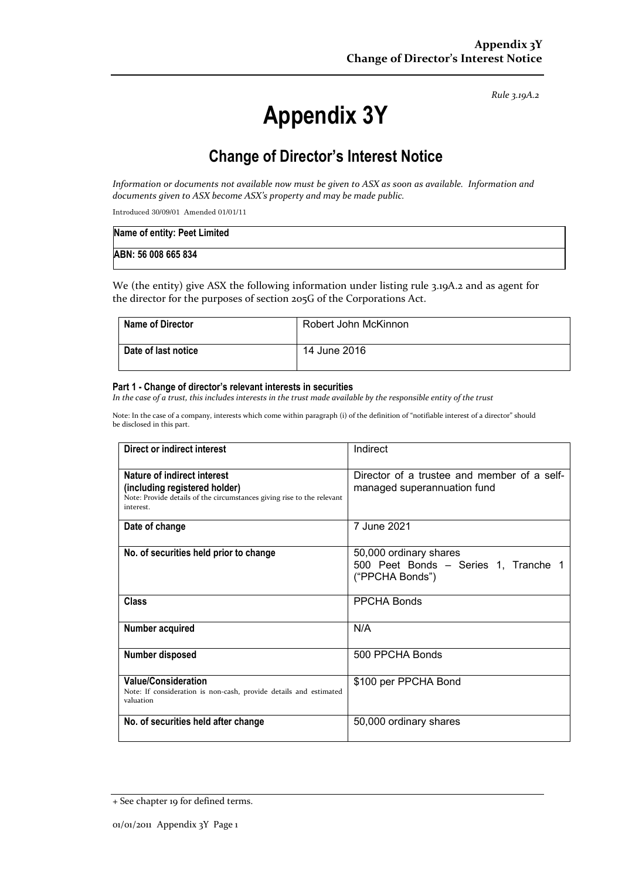*Rule 3.19A.2*

# **Appendix 3Y**

# **Change of Director's Interest Notice**

*Information or documents not available now must be given to ASX as soon as available. Information and documents given to ASX become ASX's property and may be made public.*

Introduced 30/09/01 Amended 01/01/11

| Name of entity: Peet Limited |  |
|------------------------------|--|
| ABN: 56 008 665 834          |  |

We (the entity) give ASX the following information under listing rule 3.19A.2 and as agent for the director for the purposes of section 205G of the Corporations Act.

| <b>Name of Director</b> | Robert John McKinnon |
|-------------------------|----------------------|
| Date of last notice     | 14 June 2016         |

#### **Part 1 - Change of director's relevant interests in securities**

*In the case of a trust, this includes interests in the trust made available by the responsible entity of the trust*

Note: In the case of a company, interests which come within paragraph (i) of the definition of "notifiable interest of a director" should be disclosed in this part.

| Direct or indirect interest                                                                                                                         | Indirect                                                                          |
|-----------------------------------------------------------------------------------------------------------------------------------------------------|-----------------------------------------------------------------------------------|
| Nature of indirect interest<br>(including registered holder)<br>Note: Provide details of the circumstances giving rise to the relevant<br>interest. | Director of a trustee and member of a self-<br>managed superannuation fund        |
| Date of change                                                                                                                                      | 7 June 2021                                                                       |
| No. of securities held prior to change                                                                                                              | 50,000 ordinary shares<br>500 Peet Bonds - Series 1, Tranche 1<br>("PPCHA Bonds") |
| Class                                                                                                                                               | <b>PPCHA Bonds</b>                                                                |
| Number acquired                                                                                                                                     | N/A                                                                               |
| Number disposed                                                                                                                                     | 500 PPCHA Bonds                                                                   |
| <b>Value/Consideration</b><br>Note: If consideration is non-cash, provide details and estimated<br>valuation                                        | \$100 per PPCHA Bond                                                              |
| No. of securities held after change                                                                                                                 | 50,000 ordinary shares                                                            |

<sup>+</sup> See chapter 19 for defined terms.